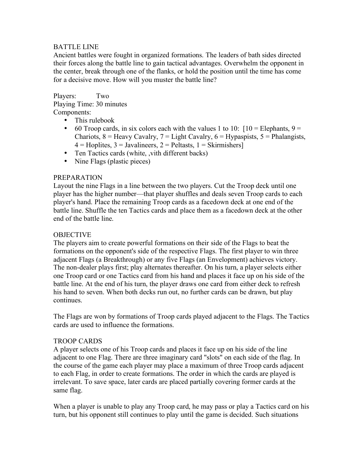## BATTLE LINE

Ancient battles were fought in organized formations. The leaders of bath sides directed their forces along the battle line to gain tactical advantages. Overwhelm the opponent in the center, break through one of the flanks, or hold the position until the time has come for a decisive move. How will you muster the battle line?

Players: Two Playing Time: 30 minutes Components:

- This rulebook
- 60 Troop cards, in six colors each with the values 1 to 10:  $[10 = \text{Elephants}, 9 =$ Chariots,  $8 =$  Heavy Cavalry,  $7 =$  Light Cavalry,  $6 =$  Hypaspists,  $5 =$  Phalangists,  $4 =$  Hoplites,  $3 =$  Javalineers,  $2 =$  Peltasts,  $1 =$  Skirmishers]
- Ten Tactics cards (white, , vith different backs)
- Nine Flags (plastic pieces)

#### PREPARATION

Layout the nine Flags in a line between the two players. Cut the Troop deck until one player has the higher number—that player shuffles and deals seven Troop cards to each player's hand. Place the remaining Troop cards as a facedown deck at one end of the battle line. Shuffle the ten Tactics cards and place them as a facedown deck at the other end of the battle line.

### **OBJECTIVE**

The players aim to create powerful formations on their side of the Flags to beat the formations on the opponent's side of the respective Flags. The first player to win three adjacent Flags (a Breakthrough) or any five Flags (an Envelopment) achieves victory. The non-dealer plays first; play alternates thereafter. On his turn, a player selects either one Troop card or one Tactics card from his hand and places it face up on his side of the battle line. At the end of his turn, the player draws one card from either deck to refresh his hand to seven. When both decks run out, no further cards can be drawn, but play continues.

The Flags are won by formations of Troop cards played adjacent to the Flags. The Tactics cards are used to influence the formations.

#### TROOP CARDS

A player selects one of his Troop cards and places it face up on his side of the line adjacent to one Flag. There are three imaginary card "slots" on each side of the flag. In the course of the game each player may place a maximum of three Troop cards adjacent to each Flag, in order to create formations. The order in which the cards are played is irrelevant. To save space, later cards are placed partially covering former cards at the same flag.

When a player is unable to play any Troop card, he may pass or play a Tactics card on his turn, but his opponent still continues to play until the game is decided. Such situations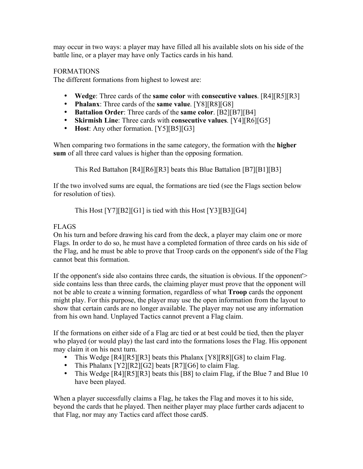may occur in two ways: a player may have filled all his available slots on his side of the battle line, or a player may have only Tactics cards in his hand.

## FORMATIONS

The different formations from highest to lowest are:

- **Wedge**: Three cards of the **same color** with **consecutive values**. [R4][R5][R3]
- **Phalanx**: Three cards of the **same value**. [Y8][R8][G8]
- **Battalion Order**: Three cards of the **same color**. [B2][B7][B4]
- **Skirmish Line**: Three cards with **consecutive values**. [Y4][R6][G5]
- **Host**: Any other formation. [Y5][B5][G3]

When comparing two formations in the same category, the formation with the **higher sum** of all three card values is higher than the opposing formation.

This Red Battahon [R4][R6][R3] beats this Blue Battalion [B7][B1][B3]

If the two involved sums are equal, the formations are tied (see the Flags section below for resolution of ties).

This Host [Y7][B2][G1] is tied with this Host [Y3][B3][G4]

# **FLAGS**

On his turn and before drawing his card from the deck, a player may claim one or more Flags. In order to do so, he must have a completed formation of three cards on his side of the Flag, and he must be able to prove that Troop cards on the opponent's side of the Flag cannot beat this formation.

If the opponent's side also contains three cards, the situation is obvious. If the opponent'> side contains less than three cards, the claiming player must prove that the opponent will not be able to create a winning formation, regardless of what **Troop** cards the opponent might play. For this purpose, the player may use the open information from the layout to show that certain cards are no longer available. The player may not use any information from his own hand. Unplayed Tactics cannot prevent a Flag claim.

If the formations on either side of a Flag arc tied or at best could be tied, then the player who played (or would play) the last card into the formations loses the Flag. His opponent may claim it on his next turn.

- This Wedge [R4][R5][R3] beats this Phalanx [Y8][R8][G8] to claim Flag.
- This Phalanx [Y2][R2][G2] beats [R7][G6] to claim Flag.
- This Wedge [R4][R5][R3] beats this [B8] to claim Flag, if the Blue 7 and Blue 10 have been played.

When a player successfully claims a Flag, he takes the Flag and moves it to his side, beyond the cards that he played. Then neither player may place further cards adjacent to that Flag, nor may any Tactics card affect those card\$.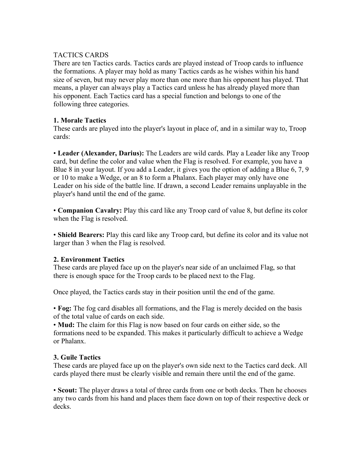# TACTICS CARDS

There are ten Tactics cards. Tactics cards are played instead of Troop cards to influence the formations. A player may hold as many Tactics cards as he wishes within his hand size of seven, but may never play more than one more than his opponent has played. That means, a player can always play a Tactics card unless he has already played more than his opponent. Each Tactics card has a special function and belongs to one of the following three categories.

## **1. Morale Tactics**

These cards are played into the player's layout in place of, and in a similar way to, Troop cards:

• **Leader (Alexander, Darius):** The Leaders are wild cards. Play a Leader like any Troop card, but define the color and value when the Flag is resolved. For example, you have a Blue 8 in your layout. If you add a Leader, it gives you the option of adding a Blue 6, 7, 9 or 10 to make a Wedge, or an 8 to form a Phalanx. Each player may only have one Leader on his side of the battle line. If drawn, a second Leader remains unplayable in the player's hand until the end of the game.

• **Companion Cavalry:** Play this card like any Troop card of value 8, but define its color when the Flag is resolved.

• **Shield Bearers:** Play this card like any Troop card, but define its color and its value not larger than 3 when the Flag is resolved.

## **2. Environment Tactics**

These cards are played face up on the player's near side of an unclaimed Flag, so that there is enough space for the Troop cards to be placed next to the Flag.

Once played, the Tactics cards stay in their position until the end of the game.

• **Fog:** The fog card disables all formations, and the Flag is merely decided on the basis of the total value of cards on each side.

• **Mud:** The claim for this Flag is now based on four cards on either side, so the formations need to be expanded. This makes it particularly difficult to achieve a Wedge or Phalanx.

## **3. Guile Tactics**

These cards are played face up on the player's own side next to the Tactics card deck. All cards played there must be clearly visible and remain there until the end of the game.

• **Scout:** The player draws a total of three cards from one or both decks. Then he chooses any two cards from his hand and places them face down on top of their respective deck or decks.